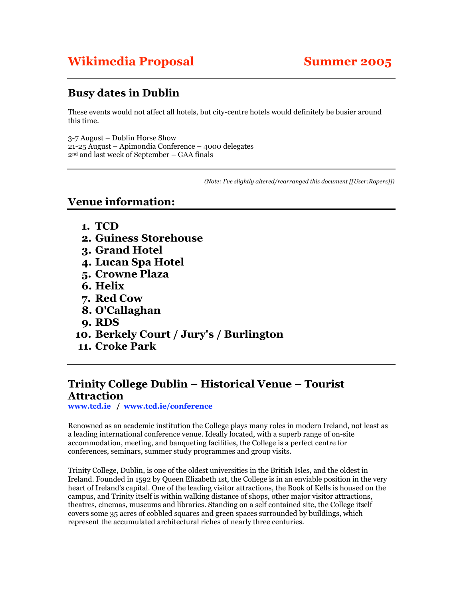# **Wikimedia Proposal Summer 2005**

## **Busy dates in Dublin**

These events would not affect all hotels, but city-centre hotels would definitely be busier around this time.

3-7 August – Dublin Horse Show 21-25 August – Apimondia Conference – 4000 delegates 2nd and last week of September – GAA finals

*(Note: I've slightly altered/rearranged this document [[User:Ropers]])*

### **Venue information:**

- **1. TCD**
- **2. Guiness Storehouse**
- **3. Grand Hotel**
- **4. Lucan Spa Hotel**
- **5. Crowne Plaza**
- **6. Helix**
- **7. Red Cow**
- **8. O'Callaghan**
- **9. RDS**
- **10. Berkely Court / Jury's / Burlington**
- **11. Croke Park**

### **Trinity College Dublin – Historical Venue – Tourist Attraction**

**www.tcd.ie / www.tcd.ie/conference**

Renowned as an academic institution the College plays many roles in modern Ireland, not least as a leading international conference venue. Ideally located, with a superb range of on-site accommodation, meeting, and banqueting facilities, the College is a perfect centre for conferences, seminars, summer study programmes and group visits.

Trinity College, Dublin, is one of the oldest universities in the British Isles, and the oldest in Ireland. Founded in 1592 by Queen Elizabeth 1st, the College is in an enviable position in the very heart of Ireland's capital. One of the leading visitor attractions, the Book of Kells is housed on the campus, and Trinity itself is within walking distance of shops, other major visitor attractions, theatres, cinemas, museums and libraries. Standing on a self contained site, the College itself covers some 35 acres of cobbled squares and green spaces surrounded by buildings, which represent the accumulated architectural riches of nearly three centuries.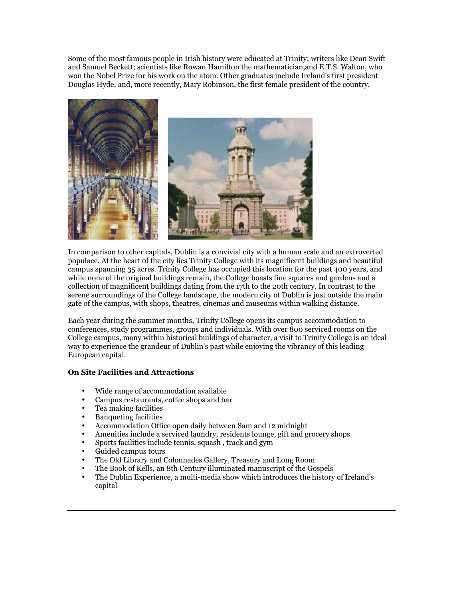Some of the most famous people in Irish history were educated at Trinity; writers like Dean Swift and Samuel Beckett; scientists like Rowan Hamilton the mathematician,and E.T.S. Walton, who won the Nobel Prize for his work on the atom. Other graduates include Ireland's first president Douglas Hyde, and, more recently, Mary Robinson, the first female president of the country.



In comparison to other capitals, Dublin is a convivial city with a human scale and an extroverted populace. At the heart of the city lies Trinity College with its magnificent buildings and beautiful campus spanning 35 acres. Trinity College has occupied this location for the past 400 years, and while none of the original buildings remain, the College boasts fine squares and gardens and a collection of magnificent buildings dating from the 17th to the 20th century. In contrast to the serene surroundings of the College landscape, the modern city of Dublin is just outside the main gate of the campus, with shops, theatres, cinemas and museums within walking distance.

Each year during the summer months, Trinity College opens its campus accommodation to conferences, study programmes, groups and individuals. With over 800 serviced rooms on the College campus, many within historical buildings of character, a visit to Trinity College is an ideal way to experience the grandeur of Dublin's past while enjoying the vibrancy of this leading European capital.

### **On Site Facilities and Attractions**

- Wide range of accommodation available
- Campus restaurants, coffee shops and bar
- Tea making facilities
- Banqueting facilities
- Accommodation Office open daily between 8am and 12 midnight
- Amenities include a serviced laundry, residents lounge, gift and grocery shops<br>• Sports facilities include tennis, squash, track and gym
- Sports facilities include tennis, squash , track and gym
- Guided campus tours
- The Old Library and Colonnades Gallery, Treasury and Long Room
- The Book of Kells, an 8th Century illuminated manuscript of the Gospels
- The Dublin Experience, a multi-media show which introduces the history of Ireland's capital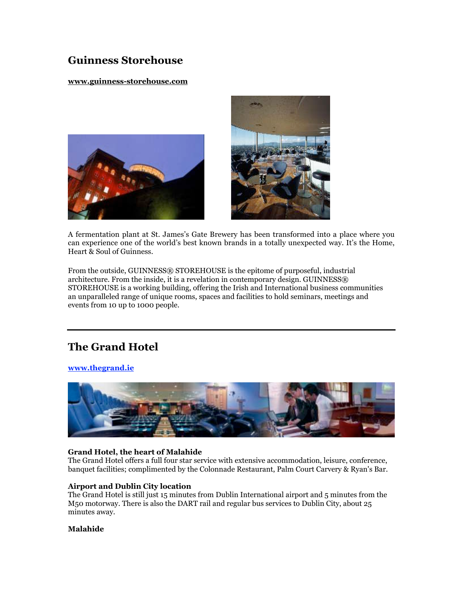## **Guinness Storehouse**

### **www.guinness-storehouse.com**





A fermentation plant at St. James's Gate Brewery has been transformed into a place where you can experience one of the world's best known brands in a totally unexpected way. It's the Home, Heart & Soul of Guinness.

From the outside, GUINNESS® STOREHOUSE is the epitome of purposeful, industrial architecture. From the inside, it is a revelation in contemporary design. GUINNESS® STOREHOUSE is a working building, offering the Irish and International business communities an unparalleled range of unique rooms, spaces and facilities to hold seminars, meetings and events from 10 up to 1000 people.

## **The Grand Hotel**

### **www.thegrand.ie**



### **Grand Hotel, the heart of Malahide**

The Grand Hotel offers a full four star service with extensive accommodation, leisure, conference, banquet facilities; complimented by the Colonnade Restaurant, Palm Court Carvery & Ryan's Bar.

### **Airport and Dublin City location**

The Grand Hotel is still just 15 minutes from Dublin International airport and 5 minutes from the M50 motorway. There is also the DART rail and regular bus services to Dublin City, about 25 minutes away.

### **Malahide**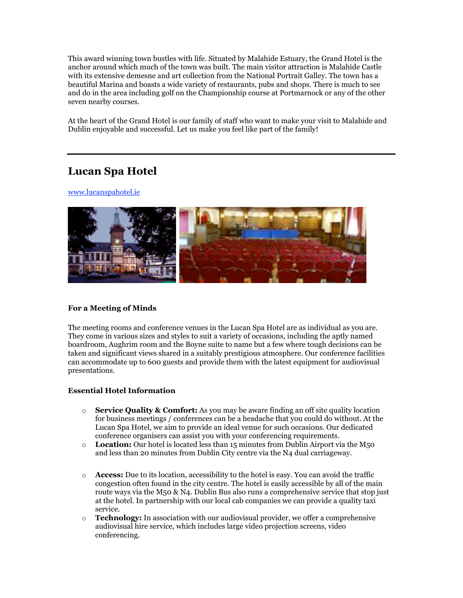This award winning town bustles with life. Situated by Malahide Estuary, the Grand Hotel is the anchor around which much of the town was built. The main visitor attraction is Malahide Castle with its extensive demesne and art collection from the National Portrait Galley. The town has a beautiful Marina and boasts a wide variety of restaurants, pubs and shops. There is much to see and do in the area including golf on the Championship course at Portmarnock or any of the other seven nearby courses.

At the heart of the Grand Hotel is our family of staff who want to make your visit to Malahide and Dublin enjoyable and successful. Let us make you feel like part of the family!

## **Lucan Spa Hotel**

www.lucanspahotel.ie



### **For a Meeting of Minds**

The meeting rooms and conference venues in the Lucan Spa Hotel are as individual as you are. They come in various sizes and styles to suit a variety of occasions, including the aptly named boardroom, Aughrim room and the Boyne suite to name but a few where tough decisions can be taken and significant views shared in a suitably prestigious atmosphere. Our conference facilities can accommodate up to 600 guests and provide them with the latest equipment for audiovisual presentations.

### **Essential Hotel Information**

- o **Service Quality & Comfort:** As you may be aware finding an off site quality location for business meetings / conferences can be a headache that you could do without. At the Lucan Spa Hotel, we aim to provide an ideal venue for such occasions. Our dedicated conference organisers can assist you with your conferencing requirements.
- o **Location:** Our hotel is located less than 15 minutes from Dublin Airport via the M50 and less than 20 minutes from Dublin City centre via the N4 dual carriageway.
- o **Access:** Due to its location, accessibility to the hotel is easy. You can avoid the traffic congestion often found in the city centre. The hotel is easily accessible by all of the main route ways via the M50 & N4. Dublin Bus also runs a comprehensive service that stop just at the hotel. In partnership with our local cab companies we can provide a quality taxi service.
- o **Technology:** In association with our audiovisual provider, we offer a comprehensive audiovisual hire service, which includes large video projection screens, video conferencing.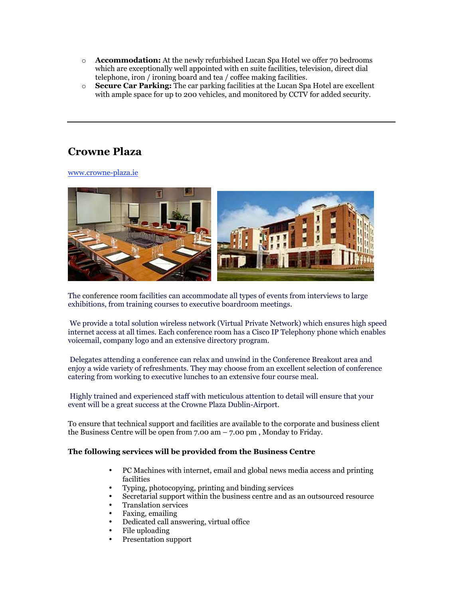- o **Accommodation:** At the newly refurbished Lucan Spa Hotel we offer 70 bedrooms which are exceptionally well appointed with en suite facilities, television, direct dial telephone, iron / ironing board and tea / coffee making facilities.
- o **Secure Car Parking:** The car parking facilities at the Lucan Spa Hotel are excellent with ample space for up to 200 vehicles, and monitored by CCTV for added security.

### **Crowne Plaza**

www.crowne-plaza.ie



The conference room facilities can accommodate all types of events from interviews to large exhibitions, from training courses to executive boardroom meetings.

 We provide a total solution wireless network (Virtual Private Network) which ensures high speed internet access at all times. Each conference room has a Cisco IP Telephony phone which enables voicemail, company logo and an extensive directory program.

 Delegates attending a conference can relax and unwind in the Conference Breakout area and enjoy a wide variety of refreshments. They may choose from an excellent selection of conference catering from working to executive lunches to an extensive four course meal.

 Highly trained and experienced staff with meticulous attention to detail will ensure that your event will be a great success at the Crowne Plaza Dublin-Airport.

To ensure that technical support and facilities are available to the corporate and business client the Business Centre will be open from 7.00 am – 7.00 pm , Monday to Friday.

### **The following services will be provided from the Business Centre**

- PC Machines with internet, email and global news media access and printing facilities
- Typing, photocopying, printing and binding services
- Secretarial support within the business centre and as an outsourced resource
- Translation services
- Faxing, emailing
- Dedicated call answering, virtual office
- File uploading
- Presentation support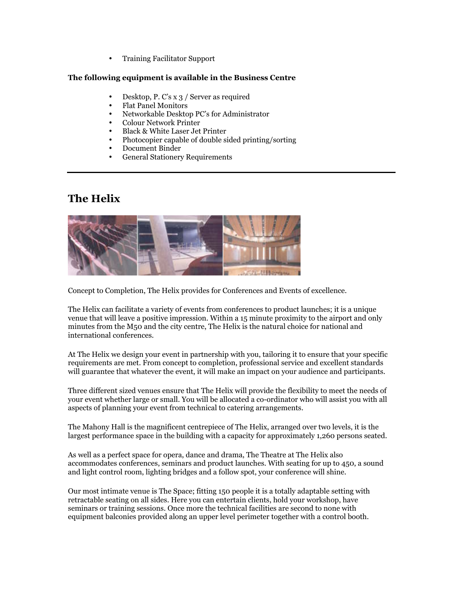• Training Facilitator Support

### **The following equipment is available in the Business Centre**

- Desktop, P. C's x 3 / Server as required
- Flat Panel Monitors
- Networkable Desktop PC's for Administrator
- Colour Network Printer
- Black & White Laser Jet Printer
- Photocopier capable of double sided printing/sorting
- Document Binder
- General Stationery Requirements

### **The Helix**



Concept to Completion, The Helix provides for Conferences and Events of excellence.

The Helix can facilitate a variety of events from conferences to product launches; it is a unique venue that will leave a positive impression. Within a 15 minute proximity to the airport and only minutes from the M50 and the city centre, The Helix is the natural choice for national and international conferences.

At The Helix we design your event in partnership with you, tailoring it to ensure that your specific requirements are met. From concept to completion, professional service and excellent standards will guarantee that whatever the event, it will make an impact on your audience and participants.

Three different sized venues ensure that The Helix will provide the flexibility to meet the needs of your event whether large or small. You will be allocated a co-ordinator who will assist you with all aspects of planning your event from technical to catering arrangements.

The Mahony Hall is the magnificent centrepiece of The Helix, arranged over two levels, it is the largest performance space in the building with a capacity for approximately 1,260 persons seated.

As well as a perfect space for opera, dance and drama, The Theatre at The Helix also accommodates conferences, seminars and product launches. With seating for up to 450, a sound and light control room, lighting bridges and a follow spot, your conference will shine.

Our most intimate venue is The Space; fitting 150 people it is a totally adaptable setting with retractable seating on all sides. Here you can entertain clients, hold your workshop, have seminars or training sessions. Once more the technical facilities are second to none with equipment balconies provided along an upper level perimeter together with a control booth.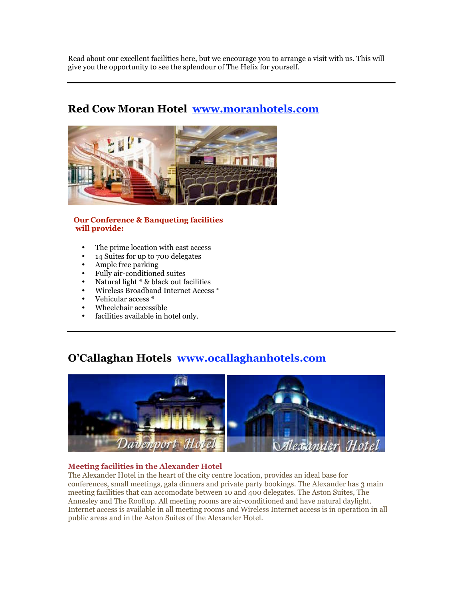Read about our excellent facilities here, but we encourage you to arrange a visit with us. This will give you the opportunity to see the splendour of The Helix for yourself.

## **Red Cow Moran Hotel www.moranhotels.com**



### **Our Conference & Banqueting facilities will provide:**

- The prime location with east access
- 14 Suites for up to 700 delegates
- Ample free parking
- Fully air-conditioned suites
- Natural light \* & black out facilities
- Wireless Broadband Internet Access \*
- Vehicular access \*
- Wheelchair accessible
- facilities available in hotel only.

## **O'Callaghan Hotels www.ocallaghanhotels.com**



### **Meeting facilities in the Alexander Hotel**

The Alexander Hotel in the heart of the city centre location, provides an ideal base for conferences, small meetings, gala dinners and private party bookings. The Alexander has 3 main meeting facilities that can accomodate between 10 and 400 delegates. The Aston Suites, The Annesley and The Rooftop. All meeting rooms are air-conditioned and have natural daylight. Internet access is available in all meeting rooms and Wireless Internet access is in operation in all public areas and in the Aston Suites of the Alexander Hotel.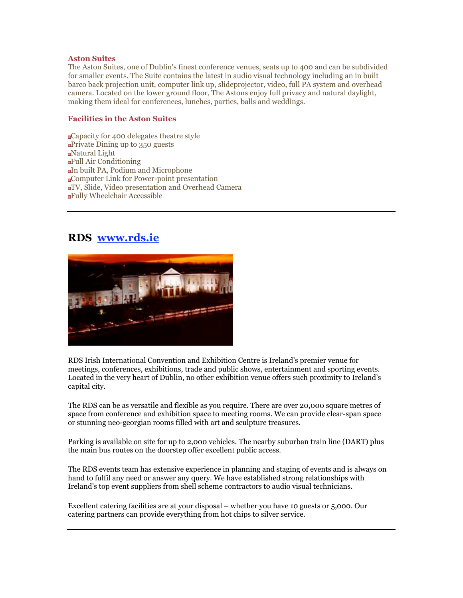#### **Aston Suites**

The Aston Suites, one of Dublin's finest conference venues, seats up to 400 and can be subdivided for smaller events. The Suite contains the latest in audio visual technology including an in built barco back projection unit, computer link up, slideprojector, video, full PA system and overhead camera. Located on the lower ground floor, The Astons enjoy full privacy and natural daylight, making them ideal for conferences, lunches, parties, balls and weddings.

### **Facilities in the Aston Suites**

Capacity for 400 delegates theatre style Private Dining up to 350 guests Natural Light Full Air Conditioning In built PA, Podium and Microphone Computer Link for Power-point presentation TV, Slide, Video presentation and Overhead Camera Fully Wheelchair Accessible

### **RDS www.rds.ie**



RDS Irish International Convention and Exhibition Centre is Ireland's premier venue for meetings, conferences, exhibitions, trade and public shows, entertainment and sporting events. Located in the very heart of Dublin, no other exhibition venue offers such proximity to Ireland's capital city.

The RDS can be as versatile and flexible as you require. There are over 20,000 square metres of space from conference and exhibition space to meeting rooms. We can provide clear-span space or stunning neo-georgian rooms filled with art and sculpture treasures.

Parking is available on site for up to 2,000 vehicles. The nearby suburban train line (DART) plus the main bus routes on the doorstep offer excellent public access.

The RDS events team has extensive experience in planning and staging of events and is always on hand to fulfil any need or answer any query. We have established strong relationships with Ireland's top event suppliers from shell scheme contractors to audio visual technicians.

Excellent catering facilities are at your disposal – whether you have 10 guests or 5,000. Our catering partners can provide everything from hot chips to silver service.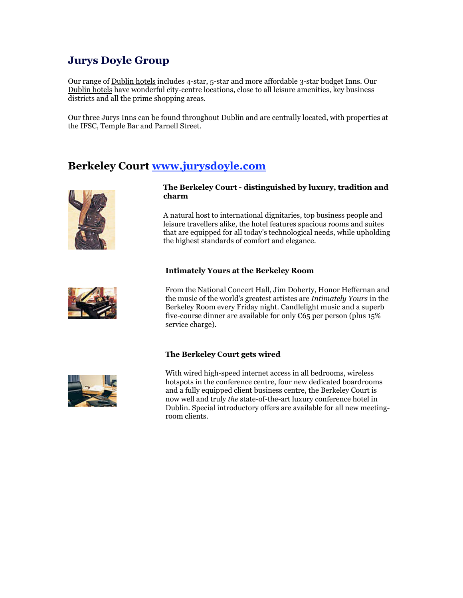## **Jurys Doyle Group**

Our range of Dublin hotels includes 4-star, 5-star and more affordable 3-star budget Inns. Our Dublin hotels have wonderful city-centre locations, close to all leisure amenities, key business districts and all the prime shopping areas.

Our three Jurys Inns can be found throughout Dublin and are centrally located, with properties at the IFSC, Temple Bar and Parnell Street.

### **Berkeley Court www.jurysdoyle.com**



**The Berkeley Court - distinguished by luxury, tradition and charm**

A natural host to international dignitaries, top business people and leisure travellers alike, the hotel features spacious rooms and suites that are equipped for all today's technological needs, while upholding the highest standards of comfort and elegance.

#### **Intimately Yours at the Berkeley Room**



From the National Concert Hall, Jim Doherty, Honor Heffernan and the music of the world's greatest artistes are *Intimately Yours* in the Berkeley Room every Friday night. Candlelight music and a superb five-course dinner are available for only €65 per person (plus 15% service charge).

### **The Berkeley Court gets wired**



With wired high-speed internet access in all bedrooms, wireless hotspots in the conference centre, four new dedicated boardrooms and a fully equipped client business centre, the Berkeley Court is now well and truly *the* state-of-the-art luxury conference hotel in Dublin. Special introductory offers are available for all new meetingroom clients.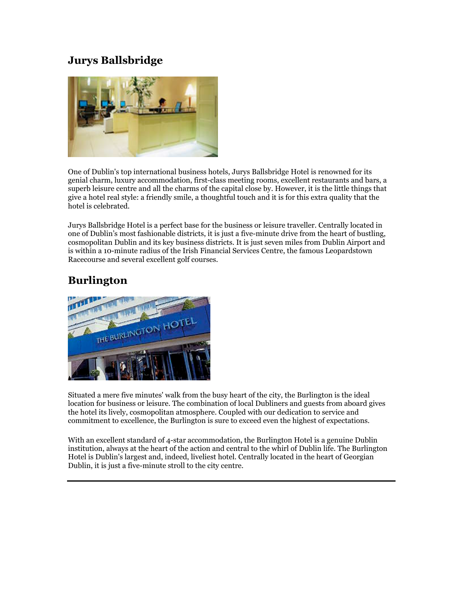## **Jurys Ballsbridge**



One of Dublin's top international business hotels, Jurys Ballsbridge Hotel is renowned for its genial charm, luxury accommodation, first-class meeting rooms, excellent restaurants and bars, a superb leisure centre and all the charms of the capital close by. However, it is the little things that give a hotel real style: a friendly smile, a thoughtful touch and it is for this extra quality that the hotel is celebrated.

Jurys Ballsbridge Hotel is a perfect base for the business or leisure traveller. Centrally located in one of Dublin's most fashionable districts, it is just a five-minute drive from the heart of bustling, cosmopolitan Dublin and its key business districts. It is just seven miles from Dublin Airport and is within a 10-minute radius of the Irish Financial Services Centre, the famous Leopardstown Racecourse and several excellent golf courses.

## **Burlington**



Situated a mere five minutes' walk from the busy heart of the city, the Burlington is the ideal location for business or leisure. The combination of local Dubliners and guests from aboard gives the hotel its lively, cosmopolitan atmosphere. Coupled with our dedication to service and commitment to excellence, the Burlington is sure to exceed even the highest of expectations.

With an excellent standard of 4-star accommodation, the Burlington Hotel is a genuine Dublin institution, always at the heart of the action and central to the whirl of Dublin life. The Burlington Hotel is Dublin's largest and, indeed, liveliest hotel. Centrally located in the heart of Georgian Dublin, it is just a five-minute stroll to the city centre.